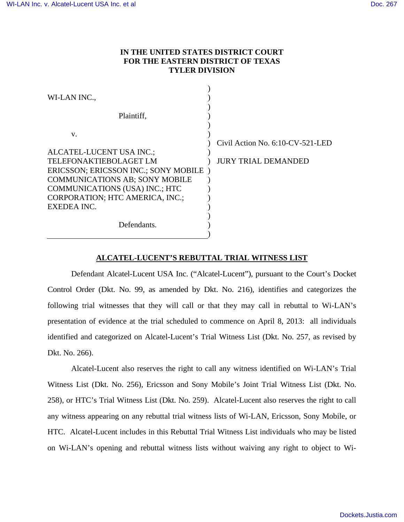## **IN THE UNITED STATES DISTRICT COURT FOR THE EASTERN DISTRICT OF TEXAS TYLER DIVISION**

| WI-LAN INC.,                          |                                  |
|---------------------------------------|----------------------------------|
| Plaintiff,                            |                                  |
| V.                                    |                                  |
|                                       | Civil Action No. 6:10-CV-521-LED |
| ALCATEL-LUCENT USA INC.;              |                                  |
| <b>TELEFONAKTIEBOLAGET LM</b>         | <b>JURY TRIAL DEMANDED</b>       |
| ERICSSON; ERICSSON INC.; SONY MOBILE) |                                  |
| <b>COMMUNICATIONS AB; SONY MOBILE</b> |                                  |
| <b>COMMUNICATIONS (USA) INC.; HTC</b> |                                  |
| CORPORATION; HTC AMERICA, INC.;       |                                  |
| EXEDEA INC.                           |                                  |
|                                       |                                  |
| Defendants.                           |                                  |
|                                       |                                  |

## **ALCATEL-LUCENT'S REBUTTAL TRIAL WITNESS LIST**

Defendant Alcatel-Lucent USA Inc. ("Alcatel-Lucent"), pursuant to the Court's Docket Control Order (Dkt. No. 99, as amended by Dkt. No. 216), identifies and categorizes the following trial witnesses that they will call or that they may call in rebuttal to Wi-LAN's presentation of evidence at the trial scheduled to commence on April 8, 2013: all individuals identified and categorized on Alcatel-Lucent's Trial Witness List (Dkt. No. 257, as revised by Dkt. No. 266).

Alcatel-Lucent also reserves the right to call any witness identified on Wi-LAN's Trial Witness List (Dkt. No. 256), Ericsson and Sony Mobile's Joint Trial Witness List (Dkt. No. 258), or HTC's Trial Witness List (Dkt. No. 259). Alcatel-Lucent also reserves the right to call any witness appearing on any rebuttal trial witness lists of Wi-LAN, Ericsson, Sony Mobile, or HTC. Alcatel-Lucent includes in this Rebuttal Trial Witness List individuals who may be listed on Wi-LAN's opening and rebuttal witness lists without waiving any right to object to Wi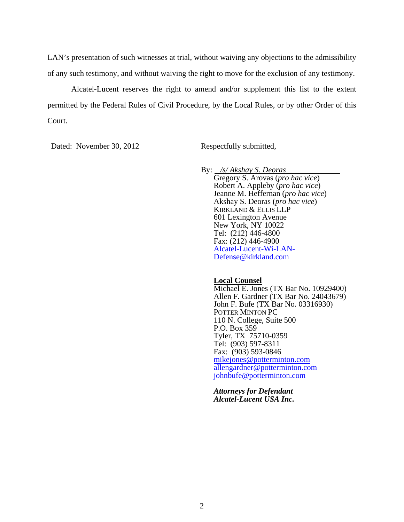LAN's presentation of such witnesses at trial, without waiving any objections to the admissibility of any such testimony, and without waiving the right to move for the exclusion of any testimony.

Alcatel-Lucent reserves the right to amend and/or supplement this list to the extent permitted by the Federal Rules of Civil Procedure, by the Local Rules, or by other Order of this Court.

Dated: November 30, 2012 Respectfully submitted,

By: */s/ Akshay S. Deoras*  Gregory S. Arovas (*pro hac vice*) Robert A. Appleby (*pro hac vice*) Jeanne M. Heffernan (*pro hac vice*) Akshay S. Deoras (*pro hac vice*) KIRKLAND & ELLIS LLP 601 Lexington Avenue New York, NY 10022 Tel: (212) 446-4800 Fax: (212) 446-4900 Alcatel-Lucent-Wi-LAN-Defense@kirkland.com

## **Local Counsel**

Michael E. Jones (TX Bar No. 10929400) Allen F. Gardner (TX Bar No. 24043679) John F. Bufe (TX Bar No. 03316930) POTTER MINTON PC 110 N. College, Suite 500 P.O. Box 359 Tyler, TX 75710-0359 Tel: (903) 597-8311 Fax: (903) 593-0846 mikejones@potterminton.com allengardner@potterminton.com johnbufe@potterminton.com

*Attorneys for Defendant Alcatel-Lucent USA Inc.*